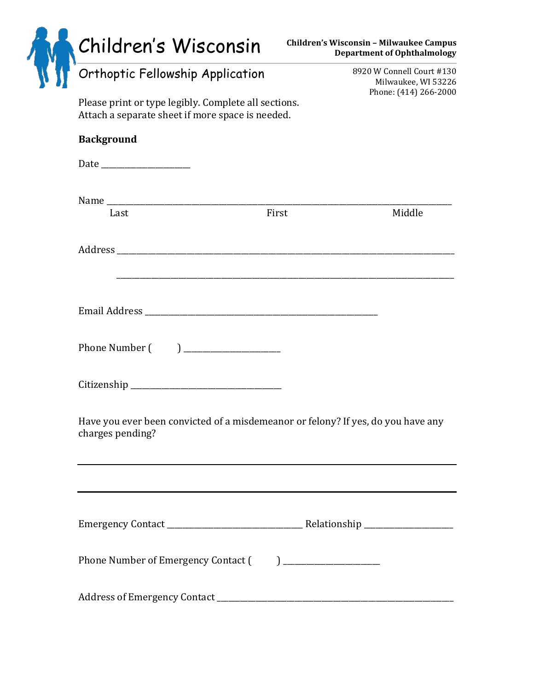| Children's Wisconsin<br>Orthoptic Fellowship Application                                             |                                                                                                                   | <b>Children's Wisconsin - Milwaukee Campus</b><br><b>Department of Ophthalmology</b> |
|------------------------------------------------------------------------------------------------------|-------------------------------------------------------------------------------------------------------------------|--------------------------------------------------------------------------------------|
| Please print or type legibly. Complete all sections.                                                 |                                                                                                                   | 8920 W Connell Court #130<br>Milwaukee, WI 53226<br>Phone: (414) 266-2000            |
| Attach a separate sheet if more space is needed.                                                     |                                                                                                                   |                                                                                      |
| <b>Background</b>                                                                                    |                                                                                                                   |                                                                                      |
|                                                                                                      |                                                                                                                   |                                                                                      |
| Name<br>Last                                                                                         | First                                                                                                             | Middle                                                                               |
|                                                                                                      |                                                                                                                   |                                                                                      |
|                                                                                                      |                                                                                                                   |                                                                                      |
| Phone Number (                                                                                       | $\begin{tabular}{ c c c c } \hline \quad \quad & \quad \quad & \quad \quad & \quad \quad \\ \hline \end{tabular}$ |                                                                                      |
|                                                                                                      |                                                                                                                   |                                                                                      |
| Have you ever been convicted of a misdemeanor or felony? If yes, do you have any<br>charges pending? |                                                                                                                   |                                                                                      |
|                                                                                                      |                                                                                                                   |                                                                                      |
|                                                                                                      |                                                                                                                   |                                                                                      |
|                                                                                                      |                                                                                                                   |                                                                                      |
|                                                                                                      |                                                                                                                   |                                                                                      |
|                                                                                                      |                                                                                                                   |                                                                                      |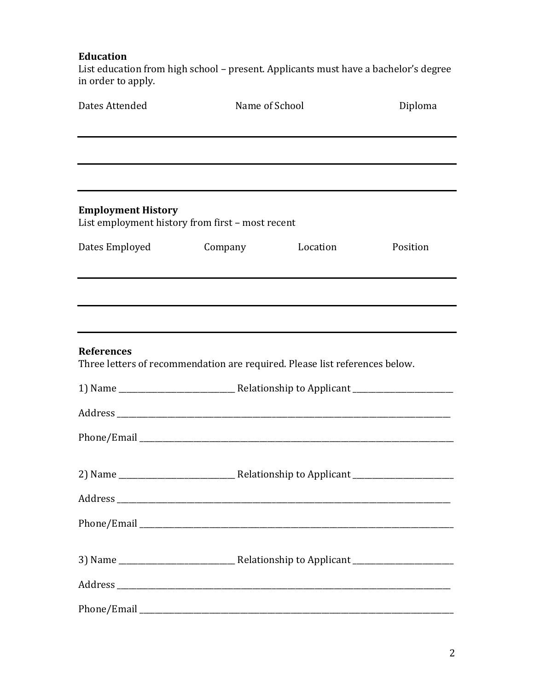# **Education**

List education from high school – present. Applicants must have a bachelor's degree in order to apply.

| Dates Attended                                                                                   |                                                                                  | Name of School |          |
|--------------------------------------------------------------------------------------------------|----------------------------------------------------------------------------------|----------------|----------|
|                                                                                                  | ,我们也不会有什么。""我们的人,我们也不会有什么?""我们的人,我们也不会有什么?""我们的人,我们也不会有什么?""我们的人,我们也不会有什么?""我们的人 |                |          |
| <b>Employment History</b><br>List employment history from first - most recent                    |                                                                                  |                |          |
| Dates Employed                                                                                   | Company                                                                          | Location       | Position |
|                                                                                                  |                                                                                  |                |          |
| <b>References</b><br>Three letters of recommendation are required. Please list references below. |                                                                                  |                |          |
|                                                                                                  |                                                                                  |                |          |
|                                                                                                  |                                                                                  |                |          |
|                                                                                                  |                                                                                  |                |          |
|                                                                                                  |                                                                                  |                |          |
|                                                                                                  |                                                                                  |                |          |
|                                                                                                  |                                                                                  |                |          |
|                                                                                                  |                                                                                  |                |          |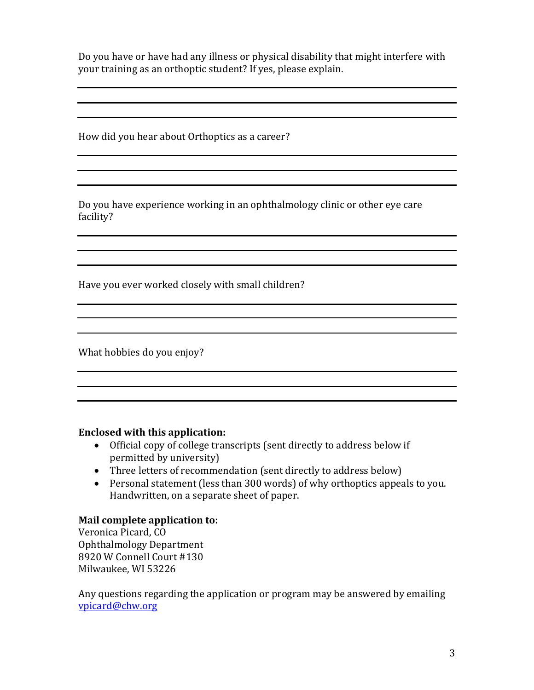Do you have or have had any illness or physical disability that might interfere with your training as an orthoptic student? If yes, please explain.

How did you hear about Orthoptics as a career?

Do you have experience working in an ophthalmology clinic or other eye care facility?

Have you ever worked closely with small children?

What hobbies do you enjoy?

## **Enclosed with this application:**

- Official copy of college transcripts (sent directly to address below if permitted by university)
- Three letters of recommendation (sent directly to address below)
- Personal statement (less than 300 words) of why orthoptics appeals to you. Handwritten, on a separate sheet of paper.

## **Mail complete application to:**

Veronica Picard, CO Ophthalmology Department 8920 W Connell Court #130 Milwaukee, WI 53226

Any questions regarding the application or program may be answered by emailing [vpicard@chw.org](mailto:vpicard@chw.org)